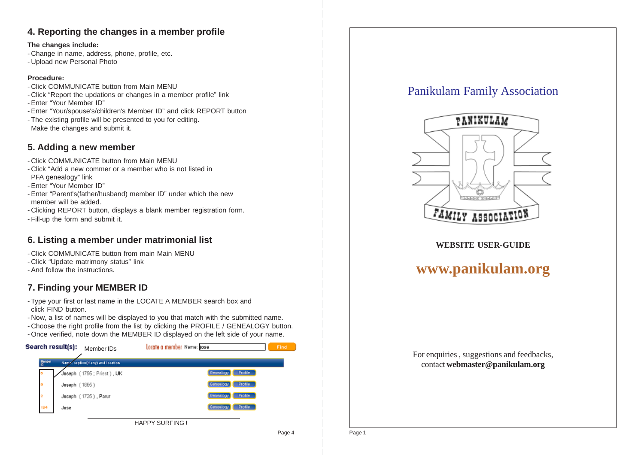#### **4. Reporting the changes in a member profile**

#### **The changes include:**

- Change in name, address, phone, profile, etc.
- Upload new Personal Photo

#### **Procedure:**

- Click COMMUNICATE button from Main MENU
- Click "Report the updations or changes in a member profile" link
- Enter "Your Member ID"
- Enter "Your/spouse's/children's Member ID" and click REPORT button
- The existing profile will be presented to you for editing. Make the changes and submit it.

#### **5. Adding a new member**

- Click COMMUNICATE button from Main MENU
- Click "Add a new commer or a member who is not listed in PFA genealogy" link
- Enter "Your Member ID"
- Enter "Parent's(father/husband) member ID" under which the new member will be added.
- Clicking REPORT button, displays a blank member registration form.
- Fill-up the form and submit it.

#### **6. Listing a member under matrimonial list**

- Click COMMUNICATE button from main Main MENU
- Click "Update matrimony status" link
- And follow the instructions.

## **7. Finding your MEMBER ID**

- Type your first or last name in the LOCATE A MEMBER search box and click FIND button.
- Now, a list of names will be displayed to you that match with the submitted name.
- Choose the right profile from the list by clicking the PROFILE / GENEALOGY button.
- Once verified, note down the MEMBER ID displayed on the left side of your name.



# Panikulam Family Association



#### **WEBSITE USER-GUIDE**

## **www.panikulam.org**

For enquiries , suggestions and feedbacks, contact **webmaster@panikulam.org**